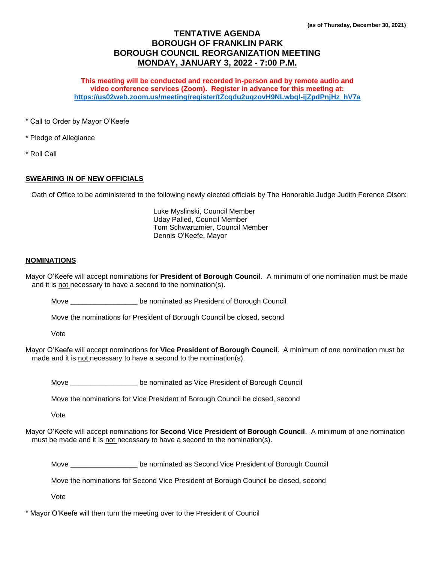# **TENTATIVE AGENDA BOROUGH OF FRANKLIN PARK BOROUGH COUNCIL REORGANIZATION MEETING MONDAY, JANUARY 3, 2022 - 7:00 P.M.**

**This meeting will be conducted and recorded in-person and by remote audio and video conference services (Zoom). Register in advance for this meeting at: [https://us02web.zoom.us/meeting/register/tZcqdu2uqzovH9NLwbqI-ijZpdPnjHz\\_hV7a](https://us02web.zoom.us/meeting/register/tZcqdu2uqzovH9NLwbqI-ijZpdPnjHz_hV7a)**

\* Call to Order by Mayor O'Keefe

- \* Pledge of Allegiance
- \* Roll Call

## **SWEARING IN OF NEW OFFICIALS**

Oath of Office to be administered to the following newly elected officials by The Honorable Judge Judith Ference Olson:

Luke Myslinski, Council Member Uday Palled, Council Member Tom Schwartzmier, Council Member Dennis O'Keefe, Mayor

## **NOMINATIONS**

Mayor O'Keefe will accept nominations for **President of Borough Council**. A minimum of one nomination must be made and it is not necessary to have a second to the nomination(s).

Move \_\_\_\_\_\_\_\_\_\_\_\_\_\_\_\_\_\_\_ be nominated as President of Borough Council

Move the nominations for President of Borough Council be closed, second

Vote

Mayor O'Keefe will accept nominations for **Vice President of Borough Council**. A minimum of one nomination must be made and it is not necessary to have a second to the nomination(s).

Move \_\_\_\_\_\_\_\_\_\_\_\_\_\_\_\_\_ be nominated as Vice President of Borough Council

Move the nominations for Vice President of Borough Council be closed, second

Vote

Mayor O'Keefe will accept nominations for **Second Vice President of Borough Council**. A minimum of one nomination must be made and it is not necessary to have a second to the nomination(s).

Move **Now Leave Leave Englerice Second Vice President of Borough Council** 

Move the nominations for Second Vice President of Borough Council be closed, second

Vote

\* Mayor O'Keefe will then turn the meeting over to the President of Council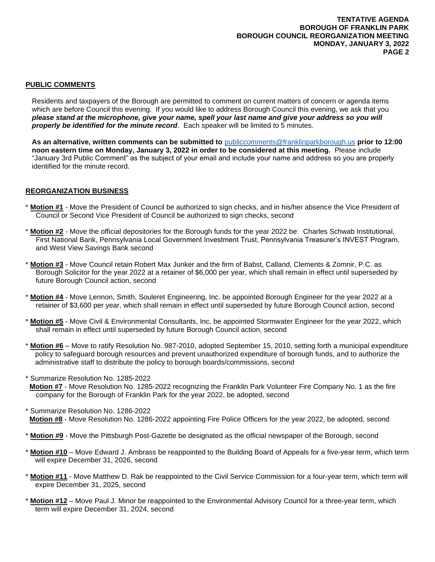## **PUBLIC COMMENTS**

Residents and taxpayers of the Borough are permitted to comment on current matters of concern or agenda items which are before Council this evening. If you would like to address Borough Council this evening, we ask that you *please stand at the microphone, give your name, spell your last name and give your address so you will properly be identified for the minute record*. Each speaker will be limited to 5 minutes.

**As an alternative, written comments can be submitted to** [publiccomments@franklinparkborough.us](mailto:publiccomments@franklinparkborough.us) **prior to 12:00 noon eastern time on Monday, January 3, 2022 in order to be considered at this meeting.** Please include "January 3rd Public Comment" as the subject of your email and include your name and address so you are properly identified for the minute record.

### **REORGANIZATION BUSINESS**

- \* **Motion #1** Move the President of Council be authorized to sign checks, and in his/her absence the Vice President of Council or Second Vice President of Council be authorized to sign checks, second
- \* **Motion #2** Move the official depositories for the Borough funds for the year 2022 be: Charles Schwab Institutional, First National Bank, Pennsylvania Local Government Investment Trust, Pennsylvania Treasurer's INVEST Program, and West View Savings Bank second
- \* **Motion #3** Move Council retain Robert Max Junker and the firm of Babst, Calland, Clements & Zomnir, P.C. as Borough Solicitor for the year 2022 at a retainer of \$6,000 per year, which shall remain in effect until superseded by future Borough Council action, second
- \* **Motion #4** Move Lennon, Smith, Souleret Engineering, Inc. be appointed Borough Engineer for the year 2022 at a retainer of \$3,600 per year, which shall remain in effect until superseded by future Borough Council action, second
- \* **Motion #5** Move Civil & Environmental Consultants, Inc. be appointed Stormwater Engineer for the year 2022, which shall remain in effect until superseded by future Borough Council action, second
- \* **Motion #6** Move to ratify Resolution No. 987-2010, adopted September 15, 2010, setting forth a municipal expenditure policy to safeguard borough resources and prevent unauthorized expenditure of borough funds, and to authorize the administrative staff to distribute the policy to borough boards/commissions, second

\* Summarize Resolution No. 1285-2022

- **Motion #7** Move Resolution No. 1285-2022 recognizing the Franklin Park Volunteer Fire Company No. 1 as the fire company for the Borough of Franklin Park for the year 2022, be adopted, second
- \* Summarize Resolution No. 1286-2022
- **Motion #8** Move Resolution No. 1286-2022 appointing Fire Police Officers for the year 2022, be adopted, second
- \* **Motion #9** Move the Pittsburgh Post-Gazette be designated as the official newspaper of the Borough, second
- \* **Motion #10** Move Edward J. Ambrass be reappointed to the Building Board of Appeals for a five-year term, which term will expire December 31, 2026, second
- \* **Motion #11** Move Matthew D. Rak be reappointed to the Civil Service Commission for a four-year term, which term will expire December 31, 2025, second
- **Motion #12** Move Paul J. Minor be reappointed to the Environmental Advisory Council for a three-year term, which term will expire December 31, 2024, second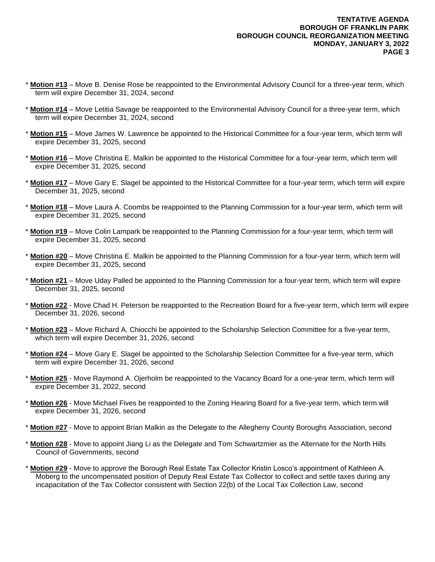- \* **Motion #13** Move B. Denise Rose be reappointed to the Environmental Advisory Council for a three-year term, which term will expire December 31, 2024, second
- Motion #14 Move Letitia Savage be reappointed to the Environmental Advisory Council for a three-year term, which term will expire December 31, 2024, second
- **Motion #15** Move James W. Lawrence be appointed to the Historical Committee for a four-year term, which term will expire December 31, 2025, second
- **Motion #16** Move Christina E. Malkin be appointed to the Historical Committee for a four-year term, which term will expire December 31, 2025, second
- \* **Motion #17** Move Gary E. Slagel be appointed to the Historical Committee for a four-year term, which term will expire December 31, 2025, second
- \* **Motion #18** Move Laura A. Coombs be reappointed to the Planning Commission for a four-year term, which term will expire December 31, 2025, second
- \* **Motion #19** Move Colin Lampark be reappointed to the Planning Commission for a four-year term, which term will expire December 31, 2025, second
- \* **Motion #20** Move Christina E. Malkin be appointed to the Planning Commission for a four-year term, which term will expire December 31, 2025, second
- \* **Motion #21** Move Uday Palled be appointed to the Planning Commission for a four-year term, which term will expire December 31, 2025, second
- \* **Motion #22** Move Chad H. Peterson be reappointed to the Recreation Board for a five-year term, which term will expire December 31, 2026, second
- \* **Motion #23** Move Richard A. Chiocchi be appointed to the Scholarship Selection Committee for a five-year term, which term will expire December 31, 2026, second
- \* **Motion #24** Move Gary E. Slagel be appointed to the Scholarship Selection Committee for a five-year term, which term will expire December 31, 2026, second
- \* **Motion #25** Move Raymond A. Ojerholm be reappointed to the Vacancy Board for a one-year term, which term will expire December 31, 2022, second
- \* **Motion #26** Move Michael Fives be reappointed to the Zoning Hearing Board for a five-year term, which term will expire December 31, 2026, second
- **Motion #27** Move to appoint Brian Malkin as the Delegate to the Allegheny County Boroughs Association, second
- \* **Motion #28** Move to appoint Jiang Li as the Delegate and Tom Schwartzmier as the Alternate for the North Hills Council of Governments, second
- \* **Motion #29** Move to approve the Borough Real Estate Tax Collector Kristin Losco's appointment of Kathleen A. Moberg to the uncompensated position of Deputy Real Estate Tax Collector to collect and settle taxes during any incapacitation of the Tax Collector consistent with Section 22(b) of the Local Tax Collection Law, second